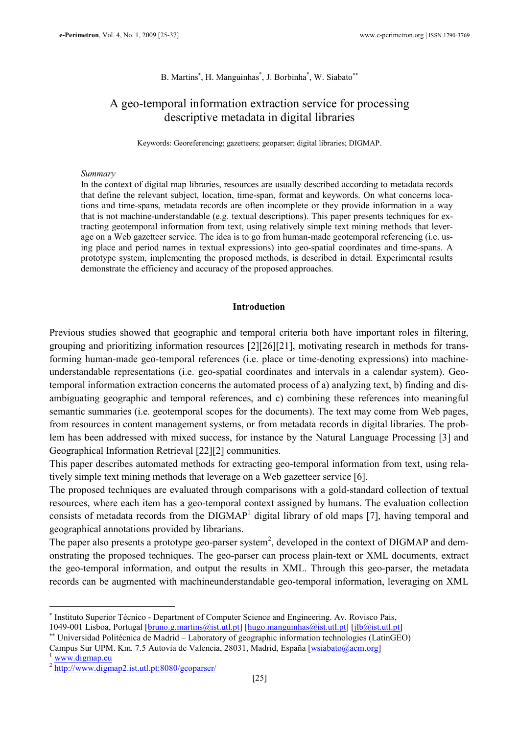## B. Martins<sup>\*</sup>, H. Manguinhas<sup>\*</sup>, J. Borbinha<sup>\*</sup>, W. Siabato<sup>\*\*</sup>

# A geo-temporal information extraction service for processing descriptive metadata in digital libraries

Keywords: Georeferencing; gazetteers; geoparser; digital libraries; DIGMAP.

#### Summary

In the context of digital map libraries, resources are usually described according to metadata records that define the relevant subject, location, time-span, format and keywords. On what concerns locations and time-spans, metadata records are often incomplete or they provide information in a way that is not machine-understandable (e.g. textual descriptions). This paper presents techniques for extracting geotemporal information from text, using relatively simple text mining methods that leverage on a Web gazetteer service. The idea is to go from human-made geotemporal referencing (i.e. using place and period names in textual expressions) into geo-spatial coordinates and time-spans. A prototype system, implementing the proposed methods, is described in detail. Experimental results demonstrate the efficiency and accuracy of the proposed approaches.

#### Introduction

Previous studies showed that geographic and temporal criteria both have important roles in filtering, grouping and prioritizing information resources [2][26][21], motivating research in methods for transforming human-made geo-temporal references (i.e. place or time-denoting expressions) into machineunderstandable representations (i.e. geo-spatial coordinates and intervals in a calendar system). Geotemporal information extraction concerns the automated process of a) analyzing text, b) finding and disambiguating geographic and temporal references, and c) combining these references into meaningful semantic summaries (i.e. geotemporal scopes for the documents). The text may come from Web pages, from resources in content management systems, or from metadata records in digital libraries. The problem has been addressed with mixed success, for instance by the Natural Language Processing [3] and Geographical Information Retrieval [22][2] communities.

This paper describes automated methods for extracting geo-temporal information from text, using relatively simple text mining methods that leverage on a Web gazetteer service [6].

The proposed techniques are evaluated through comparisons with a gold-standard collection of textual resources, where each item has a geo-temporal context assigned by humans. The evaluation collection consists of metadata records from the DIGMAP<sup>1</sup> digital library of old maps [7], having temporal and geographical annotations provided by librarians.

The paper also presents a prototype geo-parser system<sup>2</sup>, developed in the context of DIGMAP and demonstrating the proposed techniques. The geo-parser can process plain-text or XML documents, extract the geo-temporal information, and output the results in XML. Through this geo-parser, the metadata records can be augmented with machineunderstandable geo-temporal information, leveraging on XML

 $\overline{a}$ 

<sup>∗</sup> Instituto Superior Técnico - Department of Computer Science and Engineering. Av. Rovisco Pais, 1049-001 Lisboa, Portugal [bruno.g.martins@ist.utl.pt] [hugo.manguinhas@ist.utl.pt] [jlb@ist.utl.pt]

<sup>∗∗</sup> Universidad Politécnica de Madrid – Laboratory of geographic information technologies (LatinGEO)

Campus Sur UPM. Km. 7.5 Autovía de Valencia, 28031, Madrid, España [wsiabato@acm.org]

www.digmap.eu

<sup>2</sup> http://www.digmap2.ist.utl.pt:8080/geoparser/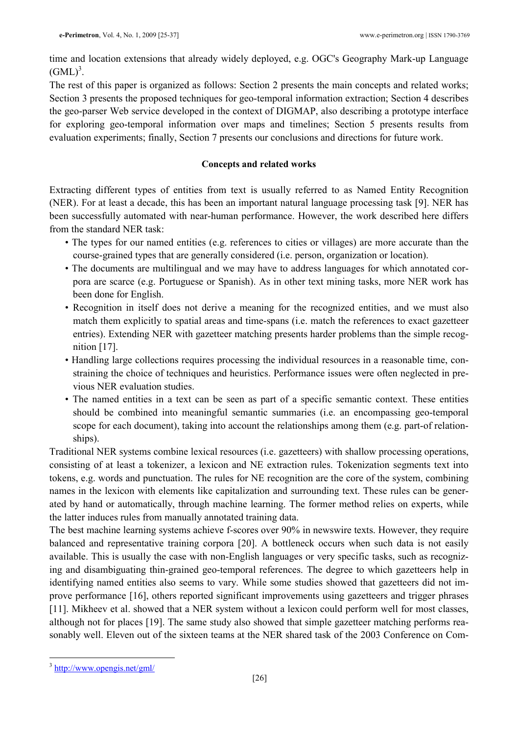time and location extensions that already widely deployed, e.g. OGC's Geography Mark-up Language  $(GML)^3$ .

The rest of this paper is organized as follows: Section 2 presents the main concepts and related works; Section 3 presents the proposed techniques for geo-temporal information extraction; Section 4 describes the geo-parser Web service developed in the context of DIGMAP, also describing a prototype interface for exploring geo-temporal information over maps and timelines; Section 5 presents results from evaluation experiments; finally, Section 7 presents our conclusions and directions for future work.

## Concepts and related works

Extracting different types of entities from text is usually referred to as Named Entity Recognition (NER). For at least a decade, this has been an important natural language processing task [9]. NER has been successfully automated with near-human performance. However, the work described here differs from the standard NER task:

- The types for our named entities (e.g. references to cities or villages) are more accurate than the course-grained types that are generally considered (i.e. person, organization or location).
- The documents are multilingual and we may have to address languages for which annotated corpora are scarce (e.g. Portuguese or Spanish). As in other text mining tasks, more NER work has been done for English.
- Recognition in itself does not derive a meaning for the recognized entities, and we must also match them explicitly to spatial areas and time-spans (i.e. match the references to exact gazetteer entries). Extending NER with gazetteer matching presents harder problems than the simple recognition  $[17]$ .
- Handling large collections requires processing the individual resources in a reasonable time, constraining the choice of techniques and heuristics. Performance issues were often neglected in previous NER evaluation studies.
- The named entities in a text can be seen as part of a specific semantic context. These entities should be combined into meaningful semantic summaries (i.e. an encompassing geo-temporal scope for each document), taking into account the relationships among them (e.g. part-of relationships).

Traditional NER systems combine lexical resources (i.e. gazetteers) with shallow processing operations, consisting of at least a tokenizer, a lexicon and NE extraction rules. Tokenization segments text into tokens, e.g. words and punctuation. The rules for NE recognition are the core of the system, combining names in the lexicon with elements like capitalization and surrounding text. These rules can be generated by hand or automatically, through machine learning. The former method relies on experts, while the latter induces rules from manually annotated training data.

The best machine learning systems achieve f-scores over 90% in newswire texts. However, they require balanced and representative training corpora [20]. A bottleneck occurs when such data is not easily available. This is usually the case with non-English languages or very specific tasks, such as recognizing and disambiguating thin-grained geo-temporal references. The degree to which gazetteers help in identifying named entities also seems to vary. While some studies showed that gazetteers did not improve performance [16], others reported significant improvements using gazetteers and trigger phrases [11]. Mikheev et al. showed that a NER system without a lexicon could perform well for most classes, although not for places [19]. The same study also showed that simple gazetteer matching performs reasonably well. Eleven out of the sixteen teams at the NER shared task of the 2003 Conference on Com-

<sup>&</sup>lt;sup>3</sup> http://www.opengis.net/gml/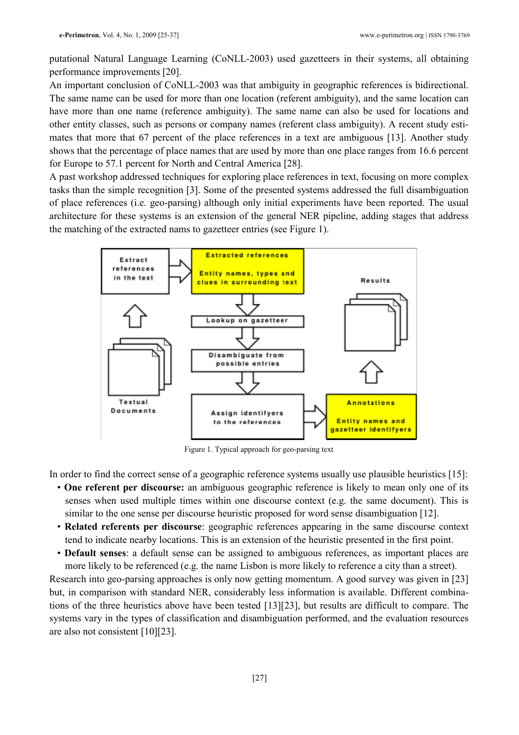putational Natural Language Learning (CoNLL-2003) used gazetteers in their systems, all obtaining performance improvements [20].

An important conclusion of CoNLL-2003 was that ambiguity in geographic references is bidirectional. The same name can be used for more than one location (referent ambiguity), and the same location can have more than one name (reference ambiguity). The same name can also be used for locations and other entity classes, such as persons or company names (referent class ambiguity). A recent study estimates that more that 67 percent of the place references in a text are ambiguous [13]. Another study shows that the percentage of place names that are used by more than one place ranges from 16.6 percent for Europe to 57.1 percent for North and Central America [28].

A past workshop addressed techniques for exploring place references in text, focusing on more complex tasks than the simple recognition [3]. Some of the presented systems addressed the full disambiguation of place references (i.e. geo-parsing) although only initial experiments have been reported. The usual architecture for these systems is an extension of the general NER pipeline, adding stages that address the matching of the extracted nams to gazetteer entries (see Figure 1).



Figure 1. Typical approach for geo-parsing text

In order to find the correct sense of a geographic reference systems usually use plausible heuristics [15]:

- One referent per discourse: an ambiguous geographic reference is likely to mean only one of its senses when used multiple times within one discourse context (e.g. the same document). This is similar to the one sense per discourse heuristic proposed for word sense disambiguation [12].
- Related referents per discourse: geographic references appearing in the same discourse context tend to indicate nearby locations. This is an extension of the heuristic presented in the first point.
- Default senses: a default sense can be assigned to ambiguous references, as important places are more likely to be referenced (e.g. the name Lisbon is more likely to reference a city than a street).

Research into geo-parsing approaches is only now getting momentum. A good survey was given in [23] but, in comparison with standard NER, considerably less information is available. Different combinations of the three heuristics above have been tested [13][23], but results are difficult to compare. The systems vary in the types of classification and disambiguation performed, and the evaluation resources are also not consistent [10][23].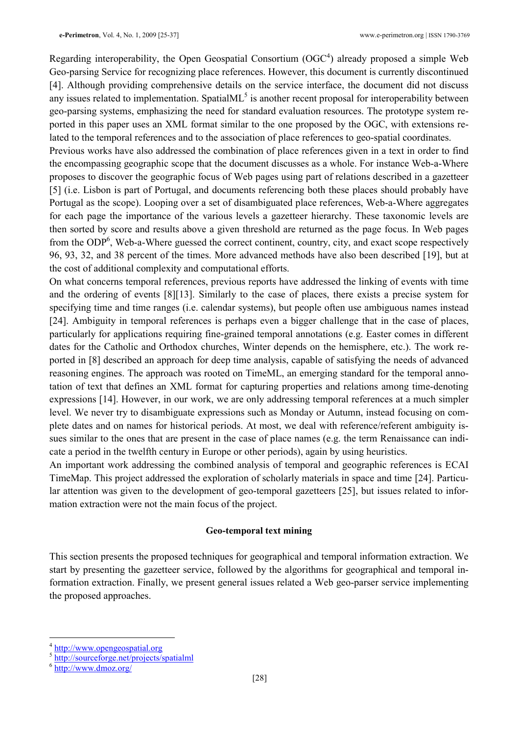Regarding interoperability, the Open Geospatial Consortium  $(OGC<sup>4</sup>)$  already proposed a simple Web Geo-parsing Service for recognizing place references. However, this document is currently discontinued [4]. Although providing comprehensive details on the service interface, the document did not discuss any issues related to implementation. Spatial $ML<sup>5</sup>$  is another recent proposal for interoperability between geo-parsing systems, emphasizing the need for standard evaluation resources. The prototype system reported in this paper uses an XML format similar to the one proposed by the OGC, with extensions related to the temporal references and to the association of place references to geo-spatial coordinates.

Previous works have also addressed the combination of place references given in a text in order to find the encompassing geographic scope that the document discusses as a whole. For instance Web-a-Where proposes to discover the geographic focus of Web pages using part of relations described in a gazetteer [5] (i.e. Lisbon is part of Portugal, and documents referencing both these places should probably have Portugal as the scope). Looping over a set of disambiguated place references, Web-a-Where aggregates for each page the importance of the various levels a gazetteer hierarchy. These taxonomic levels are then sorted by score and results above a given threshold are returned as the page focus. In Web pages from the ODP<sup>6</sup>, Web-a-Where guessed the correct continent, country, city, and exact scope respectively 96, 93, 32, and 38 percent of the times. More advanced methods have also been described [19], but at the cost of additional complexity and computational efforts.

On what concerns temporal references, previous reports have addressed the linking of events with time and the ordering of events [8][13]. Similarly to the case of places, there exists a precise system for specifying time and time ranges (i.e. calendar systems), but people often use ambiguous names instead [24]. Ambiguity in temporal references is perhaps even a bigger challenge that in the case of places, particularly for applications requiring fine-grained temporal annotations (e.g. Easter comes in different dates for the Catholic and Orthodox churches, Winter depends on the hemisphere, etc.). The work reported in [8] described an approach for deep time analysis, capable of satisfying the needs of advanced reasoning engines. The approach was rooted on TimeML, an emerging standard for the temporal annotation of text that defines an XML format for capturing properties and relations among time-denoting expressions [14]. However, in our work, we are only addressing temporal references at a much simpler level. We never try to disambiguate expressions such as Monday or Autumn, instead focusing on complete dates and on names for historical periods. At most, we deal with reference/referent ambiguity issues similar to the ones that are present in the case of place names (e.g. the term Renaissance can indicate a period in the twelfth century in Europe or other periods), again by using heuristics.

An important work addressing the combined analysis of temporal and geographic references is ECAI TimeMap. This project addressed the exploration of scholarly materials in space and time [24]. Particular attention was given to the development of geo-temporal gazetteers [25], but issues related to information extraction were not the main focus of the project.

#### Geo-temporal text mining

This section presents the proposed techniques for geographical and temporal information extraction. We start by presenting the gazetteer service, followed by the algorithms for geographical and temporal information extraction. Finally, we present general issues related a Web geo-parser service implementing the proposed approaches.

 $\overline{a}$ 

<sup>4</sup> http://www.opengeospatial.org

 $^5$  http://sourceforge.net/projects/spatialml

http://www.dmoz.org/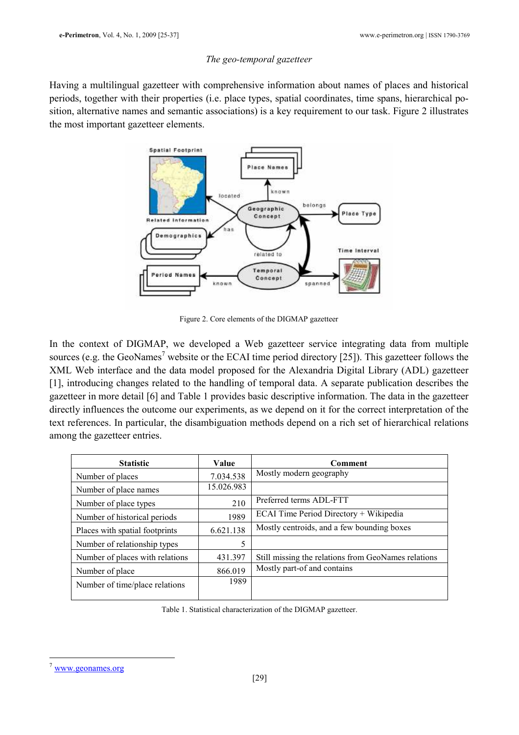### The geo-temporal gazetteer

Having a multilingual gazetteer with comprehensive information about names of places and historical periods, together with their properties (i.e. place types, spatial coordinates, time spans, hierarchical position, alternative names and semantic associations) is a key requirement to our task. Figure 2 illustrates the most important gazetteer elements.



Figure 2. Core elements of the DIGMAP gazetteer

In the context of DIGMAP, we developed a Web gazetteer service integrating data from multiple sources (e.g. the GeoNames<sup>7</sup> website or the ECAI time period directory [25]). This gazetteer follows the XML Web interface and the data model proposed for the Alexandria Digital Library (ADL) gazetteer [1], introducing changes related to the handling of temporal data. A separate publication describes the gazetteer in more detail [6] and Table 1 provides basic descriptive information. The data in the gazetteer directly influences the outcome our experiments, as we depend on it for the correct interpretation of the text references. In particular, the disambiguation methods depend on a rich set of hierarchical relations among the gazetteer entries.

| <b>Statistic</b>                | Value      | Comment                                             |  |
|---------------------------------|------------|-----------------------------------------------------|--|
| Number of places                | 7.034.538  | Mostly modern geography                             |  |
| Number of place names           | 15.026.983 |                                                     |  |
| Number of place types           | 210        | Preferred terms ADL-FTT                             |  |
| Number of historical periods    | 1989       | ECAI Time Period Directory + Wikipedia              |  |
| Places with spatial footprints  | 6.621.138  | Mostly centroids, and a few bounding boxes          |  |
| Number of relationship types    | 5          |                                                     |  |
| Number of places with relations | 431.397    | Still missing the relations from GeoNames relations |  |
| Number of place                 | 866.019    | Mostly part-of and contains                         |  |
| Number of time/place relations  | 1989       |                                                     |  |

Table 1. Statistical characterization of the DIGMAP gazetteer.

 $\overline{a}$ www.geonames.org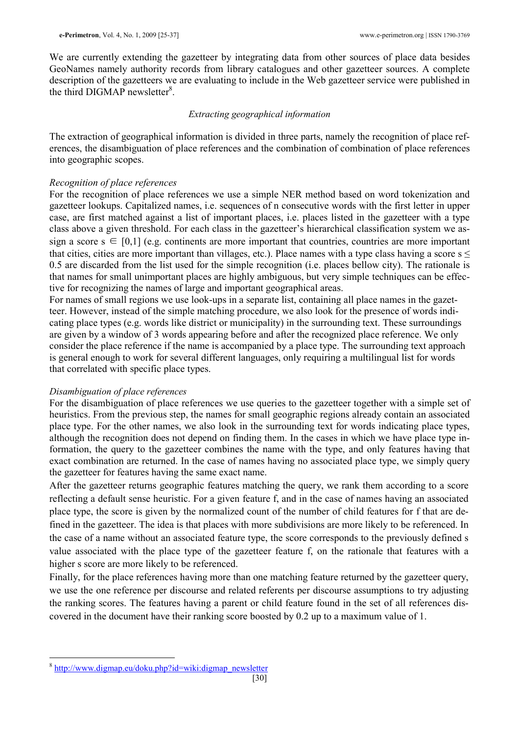We are currently extending the gazetteer by integrating data from other sources of place data besides GeoNames namely authority records from library catalogues and other gazetteer sources. A complete description of the gazetteers we are evaluating to include in the Web gazetteer service were published in the third DIGMAP newsletter<sup>8</sup>.

#### Extracting geographical information

The extraction of geographical information is divided in three parts, namely the recognition of place references, the disambiguation of place references and the combination of combination of place references into geographic scopes.

### Recognition of place references

For the recognition of place references we use a simple NER method based on word tokenization and gazetteer lookups. Capitalized names, i.e. sequences of n consecutive words with the first letter in upper case, are first matched against a list of important places, i.e. places listed in the gazetteer with a type class above a given threshold. For each class in the gazetteer's hierarchical classification system we assign a score  $s \in [0,1]$  (e.g. continents are more important that countries, countries are more important that cities, cities are more important than villages, etc.). Place names with a type class having a score  $s <$ 0.5 are discarded from the list used for the simple recognition (i.e. places bellow city). The rationale is that names for small unimportant places are highly ambiguous, but very simple techniques can be effective for recognizing the names of large and important geographical areas.

For names of small regions we use look-ups in a separate list, containing all place names in the gazetteer. However, instead of the simple matching procedure, we also look for the presence of words indicating place types (e.g. words like district or municipality) in the surrounding text. These surroundings are given by a window of 3 words appearing before and after the recognized place reference. We only consider the place reference if the name is accompanied by a place type. The surrounding text approach is general enough to work for several different languages, only requiring a multilingual list for words that correlated with specific place types.

#### Disambiguation of place references

For the disambiguation of place references we use queries to the gazetteer together with a simple set of heuristics. From the previous step, the names for small geographic regions already contain an associated place type. For the other names, we also look in the surrounding text for words indicating place types, although the recognition does not depend on finding them. In the cases in which we have place type information, the query to the gazetteer combines the name with the type, and only features having that exact combination are returned. In the case of names having no associated place type, we simply query the gazetteer for features having the same exact name.

After the gazetteer returns geographic features matching the query, we rank them according to a score reflecting a default sense heuristic. For a given feature f, and in the case of names having an associated place type, the score is given by the normalized count of the number of child features for f that are defined in the gazetteer. The idea is that places with more subdivisions are more likely to be referenced. In the case of a name without an associated feature type, the score corresponds to the previously defined s value associated with the place type of the gazetteer feature f, on the rationale that features with a higher s score are more likely to be referenced.

Finally, for the place references having more than one matching feature returned by the gazetteer query, we use the one reference per discourse and related referents per discourse assumptions to try adjusting the ranking scores. The features having a parent or child feature found in the set of all references discovered in the document have their ranking score boosted by 0.2 up to a maximum value of 1.

 $\overline{a}$ 

<sup>&</sup>lt;sup>8</sup> http://www.digmap.eu/doku.php?id=wiki:digmap\_newsletter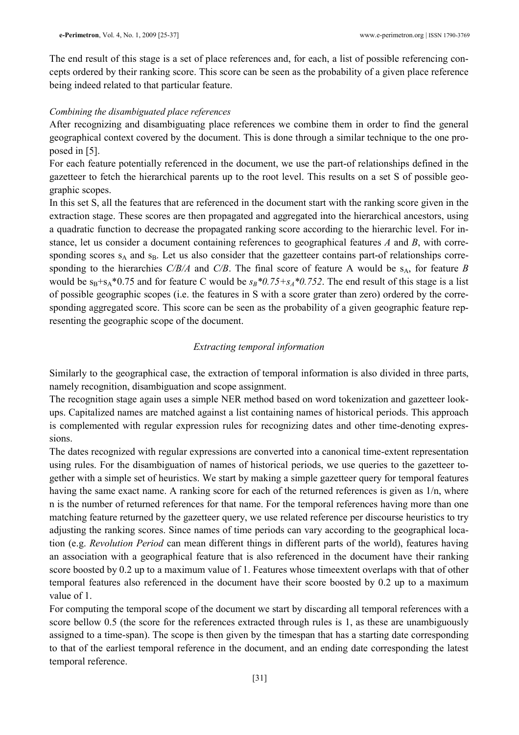The end result of this stage is a set of place references and, for each, a list of possible referencing concepts ordered by their ranking score. This score can be seen as the probability of a given place reference being indeed related to that particular feature.

#### Combining the disambiguated place references

After recognizing and disambiguating place references we combine them in order to find the general geographical context covered by the document. This is done through a similar technique to the one proposed in [5].

For each feature potentially referenced in the document, we use the part-of relationships defined in the gazetteer to fetch the hierarchical parents up to the root level. This results on a set S of possible geographic scopes.

In this set S, all the features that are referenced in the document start with the ranking score given in the extraction stage. These scores are then propagated and aggregated into the hierarchical ancestors, using a quadratic function to decrease the propagated ranking score according to the hierarchic level. For instance, let us consider a document containing references to geographical features A and B, with corresponding scores  $s_A$  and  $s_B$ . Let us also consider that the gazetteer contains part-of relationships corresponding to the hierarchies  $C/B/A$  and  $C/B$ . The final score of feature A would be s<sub>A</sub>, for feature B would be  $s_B + s_A * 0.75$  and for feature C would be  $s_B * 0.75 + s_A * 0.752$ . The end result of this stage is a list of possible geographic scopes (i.e. the features in S with a score grater than zero) ordered by the corresponding aggregated score. This score can be seen as the probability of a given geographic feature representing the geographic scope of the document.

### Extracting temporal information

Similarly to the geographical case, the extraction of temporal information is also divided in three parts, namely recognition, disambiguation and scope assignment.

The recognition stage again uses a simple NER method based on word tokenization and gazetteer lookups. Capitalized names are matched against a list containing names of historical periods. This approach is complemented with regular expression rules for recognizing dates and other time-denoting expressions.

The dates recognized with regular expressions are converted into a canonical time-extent representation using rules. For the disambiguation of names of historical periods, we use queries to the gazetteer together with a simple set of heuristics. We start by making a simple gazetteer query for temporal features having the same exact name. A ranking score for each of the returned references is given as 1/n, where n is the number of returned references for that name. For the temporal references having more than one matching feature returned by the gazetteer query, we use related reference per discourse heuristics to try adjusting the ranking scores. Since names of time periods can vary according to the geographical location (e.g. Revolution Period can mean different things in different parts of the world), features having an association with a geographical feature that is also referenced in the document have their ranking score boosted by 0.2 up to a maximum value of 1. Features whose timeextent overlaps with that of other temporal features also referenced in the document have their score boosted by 0.2 up to a maximum value of 1.

For computing the temporal scope of the document we start by discarding all temporal references with a score bellow 0.5 (the score for the references extracted through rules is 1, as these are unambiguously assigned to a time-span). The scope is then given by the timespan that has a starting date corresponding to that of the earliest temporal reference in the document, and an ending date corresponding the latest temporal reference.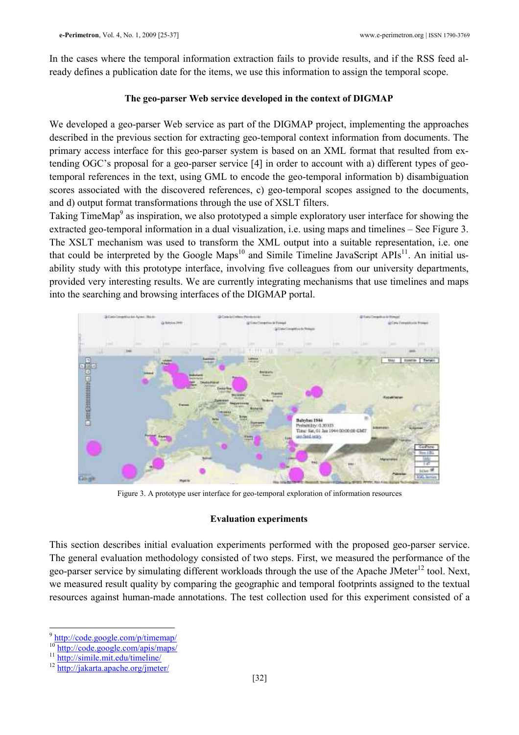In the cases where the temporal information extraction fails to provide results, and if the RSS feed already defines a publication date for the items, we use this information to assign the temporal scope.

### The geo-parser Web service developed in the context of DIGMAP

We developed a geo-parser Web service as part of the DIGMAP project, implementing the approaches described in the previous section for extracting geo-temporal context information from documents. The primary access interface for this geo-parser system is based on an XML format that resulted from extending OGC's proposal for a geo-parser service [4] in order to account with a) different types of geotemporal references in the text, using GML to encode the geo-temporal information b) disambiguation scores associated with the discovered references, c) geo-temporal scopes assigned to the documents, and d) output format transformations through the use of XSLT filters.

Taking TimeMap<sup>9</sup> as inspiration, we also prototyped a simple exploratory user interface for showing the extracted geo-temporal information in a dual visualization, i.e. using maps and timelines – See Figure 3. The XSLT mechanism was used to transform the XML output into a suitable representation, i.e. one that could be interpreted by the Google Maps<sup>10</sup> and Simile Timeline JavaScript APIs<sup>11</sup>. An initial usability study with this prototype interface, involving five colleagues from our university departments, provided very interesting results. We are currently integrating mechanisms that use timelines and maps into the searching and browsing interfaces of the DIGMAP portal.



Figure 3. A prototype user interface for geo-temporal exploration of information resources

### Evaluation experiments

This section describes initial evaluation experiments performed with the proposed geo-parser service. The general evaluation methodology consisted of two steps. First, we measured the performance of the geo-parser service by simulating different workloads through the use of the Apache JMeter<sup>12</sup> tool. Next, we measured result quality by comparing the geographic and temporal footprints assigned to the textual resources against human-made annotations. The test collection used for this experiment consisted of a

<sup>&</sup>lt;sup>9</sup> http://code.google.com/p/timemap/

<sup>&</sup>lt;sup>10</sup> http://code.google.com/apis/maps/

<sup>11</sup> http://simile.mit.edu/timeline/

<sup>12</sup> http://jakarta.apache.org/jmeter/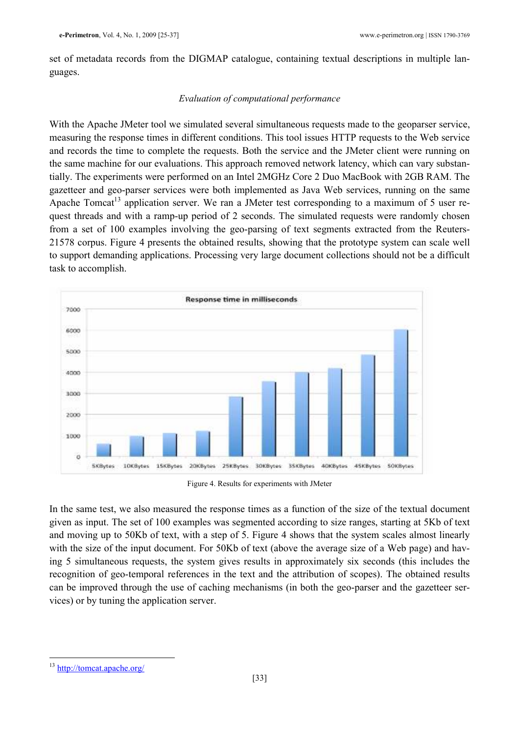set of metadata records from the DIGMAP catalogue, containing textual descriptions in multiple languages.

## Evaluation of computational performance

With the Apache JMeter tool we simulated several simultaneous requests made to the geoparser service, measuring the response times in different conditions. This tool issues HTTP requests to the Web service and records the time to complete the requests. Both the service and the JMeter client were running on the same machine for our evaluations. This approach removed network latency, which can vary substantially. The experiments were performed on an Intel 2MGHz Core 2 Duo MacBook with 2GB RAM. The gazetteer and geo-parser services were both implemented as Java Web services, running on the same Apache Tomcat<sup>13</sup> application server. We ran a JMeter test corresponding to a maximum of 5 user request threads and with a ramp-up period of 2 seconds. The simulated requests were randomly chosen from a set of 100 examples involving the geo-parsing of text segments extracted from the Reuters-21578 corpus. Figure 4 presents the obtained results, showing that the prototype system can scale well to support demanding applications. Processing very large document collections should not be a difficult task to accomplish.



Figure 4. Results for experiments with JMeter

In the same test, we also measured the response times as a function of the size of the textual document given as input. The set of 100 examples was segmented according to size ranges, starting at 5Kb of text and moving up to 50Kb of text, with a step of 5. Figure 4 shows that the system scales almost linearly with the size of the input document. For 50Kb of text (above the average size of a Web page) and having 5 simultaneous requests, the system gives results in approximately six seconds (this includes the recognition of geo-temporal references in the text and the attribution of scopes). The obtained results can be improved through the use of caching mechanisms (in both the geo-parser and the gazetteer services) or by tuning the application server.

 $\overline{a}$ <sup>13</sup> http://tomcat.apache.org/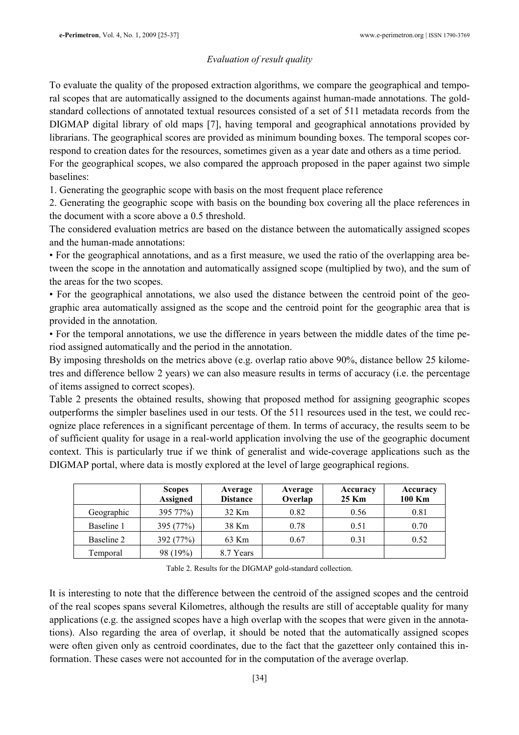## Evaluation of result quality

To evaluate the quality of the proposed extraction algorithms, we compare the geographical and temporal scopes that are automatically assigned to the documents against human-made annotations. The goldstandard collections of annotated textual resources consisted of a set of 511 metadata records from the DIGMAP digital library of old maps [7], having temporal and geographical annotations provided by librarians. The geographical scores are provided as minimum bounding boxes. The temporal scopes correspond to creation dates for the resources, sometimes given as a year date and others as a time period. For the geographical scopes, we also compared the approach proposed in the paper against two simple baselines:

1. Generating the geographic scope with basis on the most frequent place reference

2. Generating the geographic scope with basis on the bounding box covering all the place references in the document with a score above a 0.5 threshold.

The considered evaluation metrics are based on the distance between the automatically assigned scopes and the human-made annotations:

• For the geographical annotations, and as a first measure, we used the ratio of the overlapping area between the scope in the annotation and automatically assigned scope (multiplied by two), and the sum of the areas for the two scopes.

• For the geographical annotations, we also used the distance between the centroid point of the geographic area automatically assigned as the scope and the centroid point for the geographic area that is provided in the annotation.

• For the temporal annotations, we use the difference in years between the middle dates of the time period assigned automatically and the period in the annotation.

By imposing thresholds on the metrics above (e.g. overlap ratio above 90%, distance bellow 25 kilometres and difference bellow 2 years) we can also measure results in terms of accuracy (i.e. the percentage of items assigned to correct scopes).

Table 2 presents the obtained results, showing that proposed method for assigning geographic scopes outperforms the simpler baselines used in our tests. Of the 511 resources used in the test, we could recognize place references in a significant percentage of them. In terms of accuracy, the results seem to be of sufficient quality for usage in a real-world application involving the use of the geographic document context. This is particularly true if we think of generalist and wide-coverage applications such as the DIGMAP portal, where data is mostly explored at the level of large geographical regions.

|            | <b>Scopes</b><br><b>Assigned</b> | Average<br><b>Distance</b> | Average<br>Overlap | Accuracy<br>25 Km | Accuracy<br>100 Km |
|------------|----------------------------------|----------------------------|--------------------|-------------------|--------------------|
| Geographic | 395 77%)                         | 32 Km                      | 0.82               | 0.56              | 0.81               |
| Baseline 1 | 395 (77%)                        | 38 Km                      | 0.78               | 0.51              | 0.70               |
| Baseline 2 | 392 (77%)                        | 63 Km                      | 0.67               | 0.31              | 0.52               |
| Temporal   | 98 (19%)                         | 8.7 Years                  |                    |                   |                    |

Table 2. Results for the DIGMAP gold-standard collection.

It is interesting to note that the difference between the centroid of the assigned scopes and the centroid of the real scopes spans several Kilometres, although the results are still of acceptable quality for many applications (e.g. the assigned scopes have a high overlap with the scopes that were given in the annotations). Also regarding the area of overlap, it should be noted that the automatically assigned scopes were often given only as centroid coordinates, due to the fact that the gazetteer only contained this information. These cases were not accounted for in the computation of the average overlap.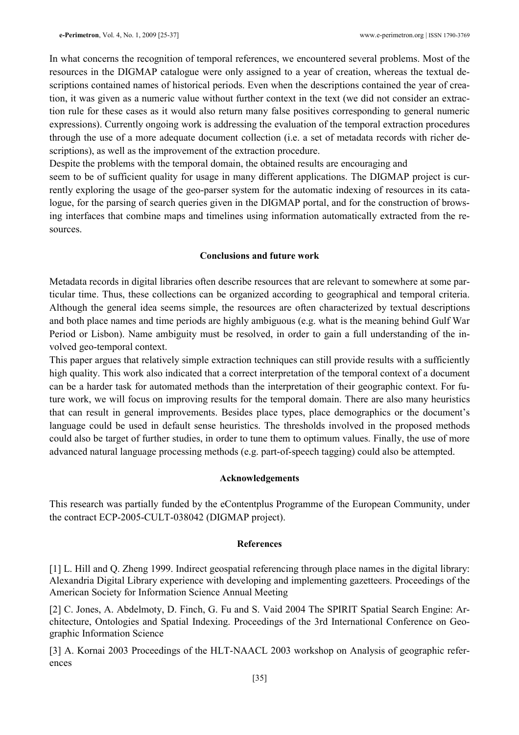In what concerns the recognition of temporal references, we encountered several problems. Most of the resources in the DIGMAP catalogue were only assigned to a year of creation, whereas the textual descriptions contained names of historical periods. Even when the descriptions contained the year of creation, it was given as a numeric value without further context in the text (we did not consider an extraction rule for these cases as it would also return many false positives corresponding to general numeric expressions). Currently ongoing work is addressing the evaluation of the temporal extraction procedures through the use of a more adequate document collection (i.e. a set of metadata records with richer descriptions), as well as the improvement of the extraction procedure.

Despite the problems with the temporal domain, the obtained results are encouraging and

seem to be of sufficient quality for usage in many different applications. The DIGMAP project is currently exploring the usage of the geo-parser system for the automatic indexing of resources in its catalogue, for the parsing of search queries given in the DIGMAP portal, and for the construction of browsing interfaces that combine maps and timelines using information automatically extracted from the resources.

#### Conclusions and future work

Metadata records in digital libraries often describe resources that are relevant to somewhere at some particular time. Thus, these collections can be organized according to geographical and temporal criteria. Although the general idea seems simple, the resources are often characterized by textual descriptions and both place names and time periods are highly ambiguous (e.g. what is the meaning behind Gulf War Period or Lisbon). Name ambiguity must be resolved, in order to gain a full understanding of the involved geo-temporal context.

This paper argues that relatively simple extraction techniques can still provide results with a sufficiently high quality. This work also indicated that a correct interpretation of the temporal context of a document can be a harder task for automated methods than the interpretation of their geographic context. For future work, we will focus on improving results for the temporal domain. There are also many heuristics that can result in general improvements. Besides place types, place demographics or the document's language could be used in default sense heuristics. The thresholds involved in the proposed methods could also be target of further studies, in order to tune them to optimum values. Finally, the use of more advanced natural language processing methods (e.g. part-of-speech tagging) could also be attempted.

#### Acknowledgements

This research was partially funded by the eContentplus Programme of the European Community, under the contract ECP-2005-CULT-038042 (DIGMAP project).

#### References

[1] L. Hill and Q. Zheng 1999. Indirect geospatial referencing through place names in the digital library: Alexandria Digital Library experience with developing and implementing gazetteers. Proceedings of the American Society for Information Science Annual Meeting

[2] C. Jones, A. Abdelmoty, D. Finch, G. Fu and S. Vaid 2004 The SPIRIT Spatial Search Engine: Architecture, Ontologies and Spatial Indexing. Proceedings of the 3rd International Conference on Geographic Information Science

[3] A. Kornai 2003 Proceedings of the HLT-NAACL 2003 workshop on Analysis of geographic references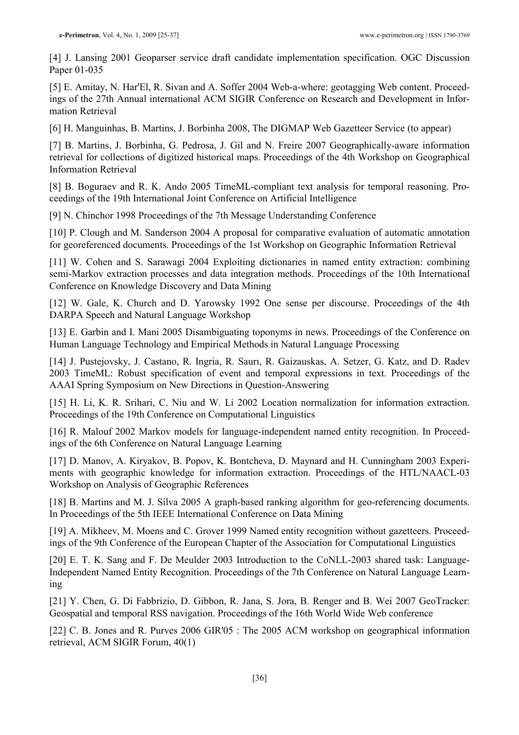[4] J. Lansing 2001 Geoparser service draft candidate implementation specification. OGC Discussion Paper 01-035

[5] E. Amitay, N. Har'El, R. Sivan and A. Soffer 2004 Web-a-where: geotagging Web content. Proceedings of the 27th Annual international ACM SIGIR Conference on Research and Development in Information Retrieval

[6] H. Manguinhas, B. Martins, J. Borbinha 2008, The DIGMAP Web Gazetteer Service (to appear)

[7] B. Martins, J. Borbinha, G. Pedrosa, J. Gil and N. Freire 2007 Geographically-aware information retrieval for collections of digitized historical maps. Proceedings of the 4th Workshop on Geographical Information Retrieval

[8] B. Boguraev and R. K. Ando 2005 TimeML-compliant text analysis for temporal reasoning. Proceedings of the 19th International Joint Conference on Artificial Intelligence

[9] N. Chinchor 1998 Proceedings of the 7th Message Understanding Conference

[10] P. Clough and M. Sanderson 2004 A proposal for comparative evaluation of automatic annotation for georeferenced documents. Proceedings of the 1st Workshop on Geographic Information Retrieval

[11] W. Cohen and S. Sarawagi 2004 Exploiting dictionaries in named entity extraction: combining semi-Markov extraction processes and data integration methods. Proceedings of the 10th International Conference on Knowledge Discovery and Data Mining

[12] W. Gale, K. Church and D. Yarowsky 1992 One sense per discourse. Proceedings of the 4th DARPA Speech and Natural Language Workshop

[13] E. Garbin and I. Mani 2005 Disambiguating toponyms in news. Proceedings of the Conference on Human Language Technology and Empirical Methods in Natural Language Processing

[14] J. Pustejovsky, J. Castano, R. Ingria, R. Saurı, R. Gaizauskas, A. Setzer, G. Katz, and D. Radev 2003 TimeML: Robust specification of event and temporal expressions in text. Proceedings of the AAAI Spring Symposium on New Directions in Question-Answering

[15] H. Li, K. R. Srihari, C. Niu and W. Li 2002 Location normalization for information extraction. Proceedings of the 19th Conference on Computational Linguistics

[16] R. Malouf 2002 Markov models for language-independent named entity recognition. In Proceedings of the 6th Conference on Natural Language Learning

[17] D. Manov, A. Kiryakov, B. Popov, K. Bontcheva, D. Maynard and H. Cunningham 2003 Experiments with geographic knowledge for information extraction. Proceedings of the HTL/NAACL-03 Workshop on Analysis of Geographic References

[18] B. Martins and M. J. Silva 2005 A graph-based ranking algorithm for geo-referencing documents. In Proceedings of the 5th IEEE International Conference on Data Mining

[19] A. Mikheev, M. Moens and C. Grover 1999 Named entity recognition without gazetteers. Proceedings of the 9th Conference of the European Chapter of the Association for Computational Linguistics

[20] E. T. K. Sang and F. De Meulder 2003 Introduction to the CoNLL-2003 shared task: Language-Independent Named Entity Recognition. Proceedings of the 7th Conference on Natural Language Learning

[21] Y. Chen, G. Di Fabbrizio, D. Gibbon, R. Jana, S. Jora, B. Renger and B. Wei 2007 GeoTracker: Geospatial and temporal RSS navigation. Proceedings of the 16th World Wide Web conference

[22] C. B. Jones and R. Purves 2006 GIR'05 : The 2005 ACM workshop on geographical information retrieval, ACM SIGIR Forum, 40(1)